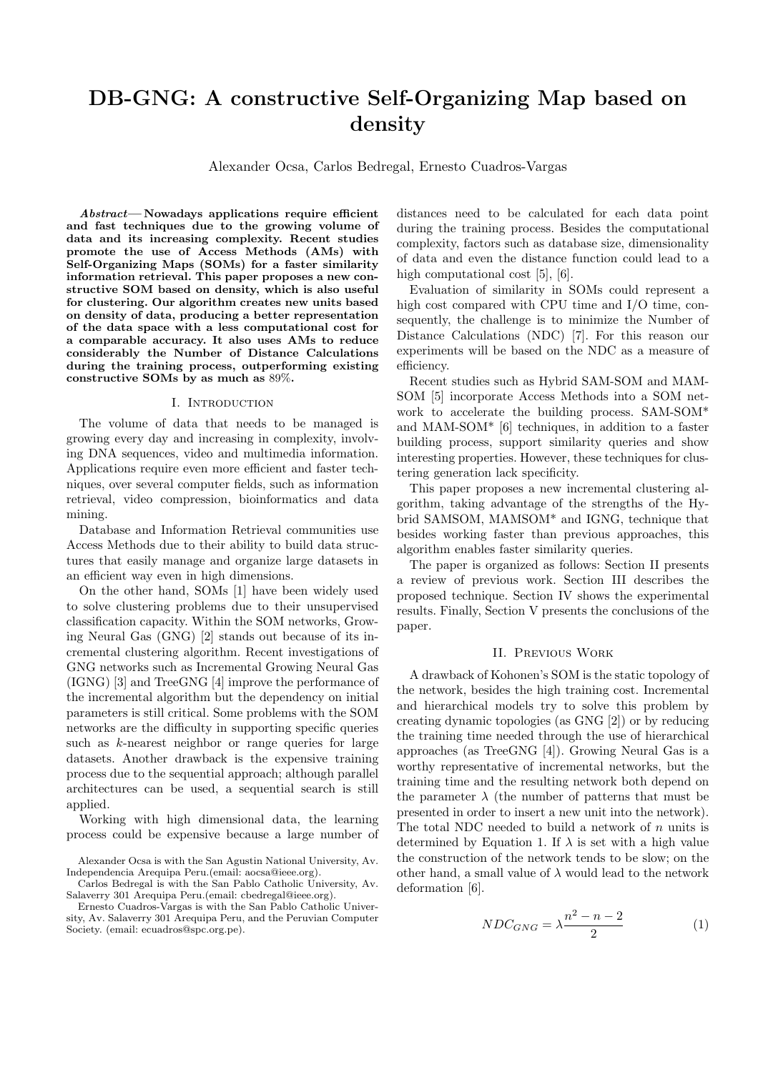# DB-GNG: A constructive Self-Organizing Map based on density

Alexander Ocsa, Carlos Bedregal, Ernesto Cuadros-Vargas

Abstract— Nowadays applications require efficient and fast techniques due to the growing volume of data and its increasing complexity. Recent studies promote the use of Access Methods (AMs) with Self-Organizing Maps (SOMs) for a faster similarity information retrieval. This paper proposes a new constructive SOM based on density, which is also useful for clustering. Our algorithm creates new units based on density of data, producing a better representation of the data space with a less computational cost for a comparable accuracy. It also uses AMs to reduce considerably the Number of Distance Calculations during the training process, outperforming existing constructive SOMs by as much as 89%.

#### I. Introduction

The volume of data that needs to be managed is growing every day and increasing in complexity, involving DNA sequences, video and multimedia information. Applications require even more efficient and faster techniques, over several computer fields, such as information retrieval, video compression, bioinformatics and data mining.

Database and Information Retrieval communities use Access Methods due to their ability to build data structures that easily manage and organize large datasets in an efficient way even in high dimensions.

On the other hand, SOMs [1] have been widely used to solve clustering problems due to their unsupervised classification capacity. Within the SOM networks, Growing Neural Gas (GNG) [2] stands out because of its incremental clustering algorithm. Recent investigations of GNG networks such as Incremental Growing Neural Gas (IGNG) [3] and TreeGNG [4] improve the performance of the incremental algorithm but the dependency on initial parameters is still critical. Some problems with the SOM networks are the difficulty in supporting specific queries such as k-nearest neighbor or range queries for large datasets. Another drawback is the expensive training process due to the sequential approach; although parallel architectures can be used, a sequential search is still applied.

Working with high dimensional data, the learning process could be expensive because a large number of

Ernesto Cuadros-Vargas is with the San Pablo Catholic University, Av. Salaverry 301 Arequipa Peru, and the Peruvian Computer Society. (email: ecuadros@spc.org.pe).

distances need to be calculated for each data point during the training process. Besides the computational complexity, factors such as database size, dimensionality of data and even the distance function could lead to a high computational cost [5], [6].

Evaluation of similarity in SOMs could represent a high cost compared with CPU time and I/O time, consequently, the challenge is to minimize the Number of Distance Calculations (NDC) [7]. For this reason our experiments will be based on the NDC as a measure of efficiency.

Recent studies such as Hybrid SAM-SOM and MAM-SOM [5] incorporate Access Methods into a SOM network to accelerate the building process. SAM-SOM\* and MAM-SOM\* [6] techniques, in addition to a faster building process, support similarity queries and show interesting properties. However, these techniques for clustering generation lack specificity.

This paper proposes a new incremental clustering algorithm, taking advantage of the strengths of the Hybrid SAMSOM, MAMSOM\* and IGNG, technique that besides working faster than previous approaches, this algorithm enables faster similarity queries.

The paper is organized as follows: Section II presents a review of previous work. Section III describes the proposed technique. Section IV shows the experimental results. Finally, Section V presents the conclusions of the paper.

#### II. Previous Work

A drawback of Kohonen's SOM is the static topology of the network, besides the high training cost. Incremental and hierarchical models try to solve this problem by creating dynamic topologies (as GNG [2]) or by reducing the training time needed through the use of hierarchical approaches (as TreeGNG [4]). Growing Neural Gas is a worthy representative of incremental networks, but the training time and the resulting network both depend on the parameter  $\lambda$  (the number of patterns that must be presented in order to insert a new unit into the network). The total NDC needed to build a network of  $n$  units is determined by Equation 1. If  $\lambda$  is set with a high value the construction of the network tends to be slow; on the other hand, a small value of  $\lambda$  would lead to the network deformation [6].

$$
NDC_{GNG} = \lambda \frac{n^2 - n - 2}{2} \tag{1}
$$

Alexander Ocsa is with the San Agustin National University, Av. Independencia Arequipa Peru.(email: aocsa@ieee.org).

Carlos Bedregal is with the San Pablo Catholic University, Av. Salaverry 301 Arequipa Peru.(email: cbedregal@ieee.org).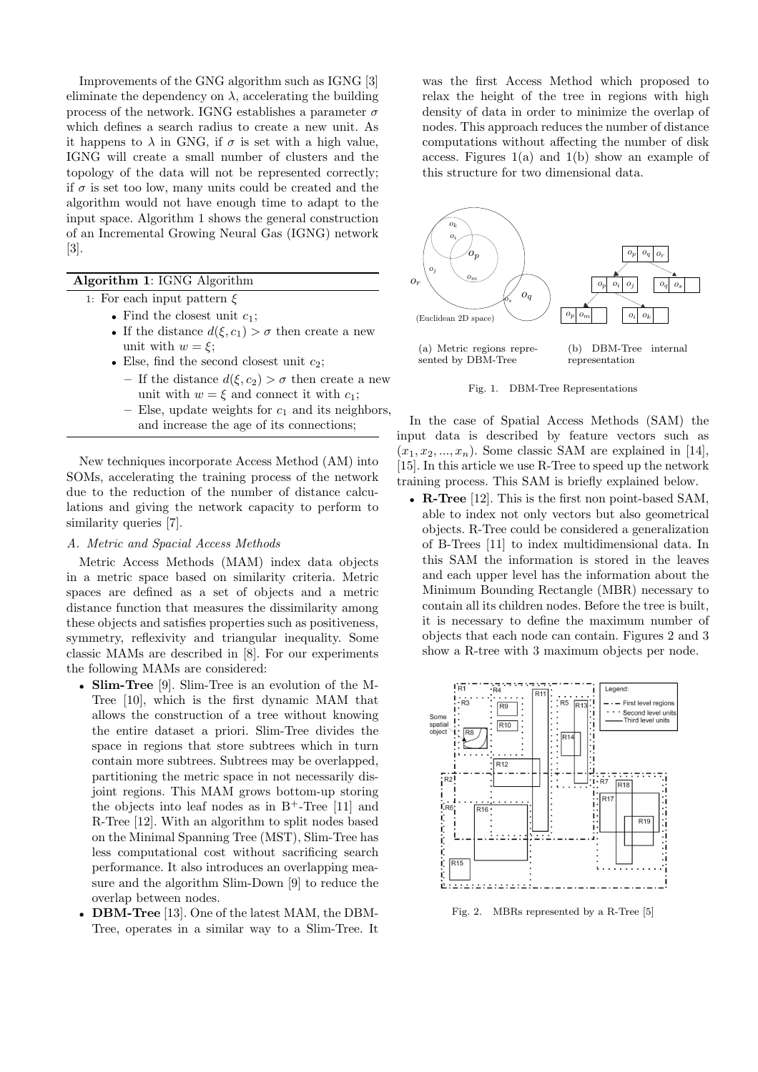Improvements of the GNG algorithm such as IGNG [3] eliminate the dependency on  $\lambda$ , accelerating the building process of the network. IGNG establishes a parameter  $\sigma$ which defines a search radius to create a new unit. As it happens to  $\lambda$  in GNG, if  $\sigma$  is set with a high value, IGNG will create a small number of clusters and the topology of the data will not be represented correctly; if  $\sigma$  is set too low, many units could be created and the algorithm would not have enough time to adapt to the input space. Algorithm 1 shows the general construction of an Incremental Growing Neural Gas (IGNG) network [3].

# Algorithm 1: IGNG Algorithm

- 1: For each input pattern  $\xi$ 
	- Find the closest unit  $c_1$ ;
	- If the distance  $d(\xi, c_1) > \sigma$  then create a new unit with  $w = \xi$ ;
	- Else, find the second closest unit  $c_2$ ;
		- If the distance  $d(\xi, c_2) > \sigma$  then create a new unit with  $w = \xi$  and connect it with  $c_1$ ;
		- Else, update weights for  $c_1$  and its neighbors, and increase the age of its connections;

New techniques incorporate Access Method (AM) into SOMs, accelerating the training process of the network due to the reduction of the number of distance calculations and giving the network capacity to perform to similarity queries [7].

## A. Metric and Spacial Access Methods

Metric Access Methods (MAM) index data objects in a metric space based on similarity criteria. Metric spaces are defined as a set of objects and a metric distance function that measures the dissimilarity among these objects and satisfies properties such as positiveness, symmetry, reflexivity and triangular inequality. Some classic MAMs are described in [8]. For our experiments the following MAMs are considered:

- Slim-Tree [9]. Slim-Tree is an evolution of the M-Tree [10], which is the first dynamic MAM that allows the construction of a tree without knowing the entire dataset a priori. Slim-Tree divides the space in regions that store subtrees which in turn contain more subtrees. Subtrees may be overlapped, partitioning the metric space in not necessarily disjoint regions. This MAM grows bottom-up storing the objects into leaf nodes as in  $B^+$ -Tree [11] and R-Tree [12]. With an algorithm to split nodes based on the Minimal Spanning Tree (MST), Slim-Tree has less computational cost without sacrificing search performance. It also introduces an overlapping measure and the algorithm Slim-Down [9] to reduce the overlap between nodes.
- DBM-Tree [13]. One of the latest MAM, the DBM-Tree, operates in a similar way to a Slim-Tree. It

was the first Access Method which proposed to relax the height of the tree in regions with high density of data in order to minimize the overlap of nodes. This approach reduces the number of distance computations without affecting the number of disk access. Figures  $1(a)$  and  $1(b)$  show an example of this structure for two dimensional data.



Fig. 1. DBM-Tree Representations

In the case of Spatial Access Methods (SAM) the input data is described by feature vectors such as  $(x_1,x_2,...,x_n)$ . Some classic SAM are explained in [14], [15]. In this article we use R-Tree to speed up the network training process. This SAM is briefly explained below.

• R-Tree [12]. This is the first non point-based SAM. able to index not only vectors but also geometrical objects. R-Tree could be considered a generalization of B-Trees [11] to index multidimensional data. In this SAM the information is stored in the leaves and each upper level has the information about the Minimum Bounding Rectangle (MBR) necessary to contain all its children nodes. Before the tree is built, it is necessary to define the maximum number of objects that each node can contain. Figures 2 and 3 show a R-tree with 3 maximum objects per node.



Fig. 2. MBRs represented by a R-Tree [5]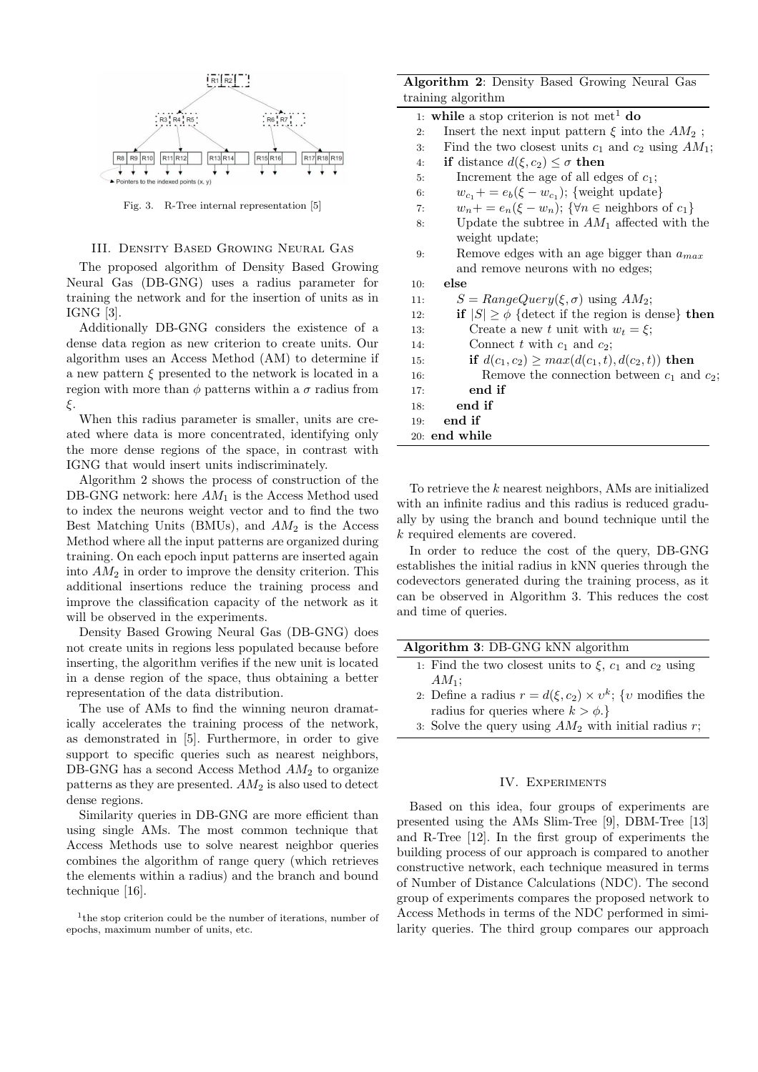

Fig. 3. R-Tree internal representation [5]

# III. Density Based Growing Neural Gas

The proposed algorithm of Density Based Growing Neural Gas (DB-GNG) uses a radius parameter for training the network and for the insertion of units as in IGNG [3].

Additionally DB-GNG considers the existence of a dense data region as new criterion to create units. Our algorithm uses an Access Method (AM) to determine if a new pattern  $\xi$  presented to the network is located in a region with more than  $\phi$  patterns within a  $\sigma$  radius from ξ.

When this radius parameter is smaller, units are created where data is more concentrated, identifying only the more dense regions of the space, in contrast with IGNG that would insert units indiscriminately.

Algorithm 2 shows the process of construction of the DB-GNG network: here  $AM_1$  is the Access Method used to index the neurons weight vector and to find the two Best Matching Units (BMUs), and  $AM_2$  is the Access Method where all the input patterns are organized during training. On each epoch input patterns are inserted again into  $AM_2$  in order to improve the density criterion. This additional insertions reduce the training process and improve the classification capacity of the network as it will be observed in the experiments.

Density Based Growing Neural Gas (DB-GNG) does not create units in regions less populated because before inserting, the algorithm verifies if the new unit is located in a dense region of the space, thus obtaining a better representation of the data distribution.

The use of AMs to find the winning neuron dramatically accelerates the training process of the network, as demonstrated in [5]. Furthermore, in order to give support to specific queries such as nearest neighbors, DB-GNG has a second Access Method  $AM<sub>2</sub>$  to organize patterns as they are presented.  $AM_2$  is also used to detect dense regions.

Similarity queries in DB-GNG are more efficient than using single AMs. The most common technique that Access Methods use to solve nearest neighbor queries combines the algorithm of range query (which retrieves the elements within a radius) and the branch and bound technique [16].

| Algorithm 2: Density Based Growing Neural Gas |  |  |  |
|-----------------------------------------------|--|--|--|
| training algorithm                            |  |  |  |

| $\sim$                                                                                    |  |
|-------------------------------------------------------------------------------------------|--|
| 1: while a stop criterion is not met <sup>1</sup> do                                      |  |
| Insert the next input pattern $\xi$ into the $AM_2$ ;<br>2:                               |  |
| Find the two closest units $c_1$ and $c_2$ using $AM_1$ ;<br>3:                           |  |
| <b>if</b> distance $d(\xi, c_2) \leq \sigma$ then<br>4:                                   |  |
| Increment the age of all edges of $c_1$ ;<br>5:                                           |  |
| $w_{c_1}$ + = $e_b(\xi - w_{c_1})$ ; {weight update}<br>6:                                |  |
| $w_n + \sum_{n=1}^{\infty} (x - w_n); \{ \forall n \in \text{neighbors of } c_1 \}$<br>7: |  |
| Update the subtree in $AM_1$ affected with the<br>8:                                      |  |
| weight update;                                                                            |  |
| Remove edges with an age bigger than $a_{max}$<br>9:                                      |  |
| and remove neurons with no edges;                                                         |  |
| else<br>10:                                                                               |  |
| $S = RangeQuery(\xi, \sigma)$ using $AM_2$ ;<br>11:                                       |  |
| if $ S  \ge \phi$ {detect if the region is dense} then<br>12:                             |  |
| Create a new t unit with $w_t = \xi$ ;<br>13.                                             |  |
| Connect t with $c_1$ and $c_2$ ;<br>14:                                                   |  |
| if $d(c_1, c_2) \ge max(d(c_1, t), d(c_2, t))$ then<br>15:                                |  |
| Remove the connection between $c_1$ and $c_2$ ;<br>16:                                    |  |
| end if<br>17:                                                                             |  |
| end if<br>18:                                                                             |  |
| end if<br>19:                                                                             |  |
| 20: end while                                                                             |  |
|                                                                                           |  |

To retrieve the k nearest neighbors, AMs are initialized with an infinite radius and this radius is reduced gradually by using the branch and bound technique until the k required elements are covered.

In order to reduce the cost of the query, DB-GNG establishes the initial radius in kNN queries through the codevectors generated during the training process, as it can be observed in Algorithm 3. This reduces the cost and time of queries.

## Algorithm 3: DB-GNG kNN algorithm

- 1: Find the two closest units to  $\xi$ ,  $c_1$  and  $c_2$  using  $AM_1$ ;
- 2: Define a radius  $r = d(\xi, c_2) \times v^k$ ; {v modifies the radius for queries where  $k > \phi$ .
- 3: Solve the query using  $AM_2$  with initial radius r;

## IV. Experiments

Based on this idea, four groups of experiments are presented using the AMs Slim-Tree [9], DBM-Tree [13] and R-Tree [12]. In the first group of experiments the building process of our approach is compared to another constructive network, each technique measured in terms of Number of Distance Calculations (NDC). The second group of experiments compares the proposed network to Access Methods in terms of the NDC performed in similarity queries. The third group compares our approach

<sup>1</sup> the stop criterion could be the number of iterations, number of epochs, maximum number of units, etc.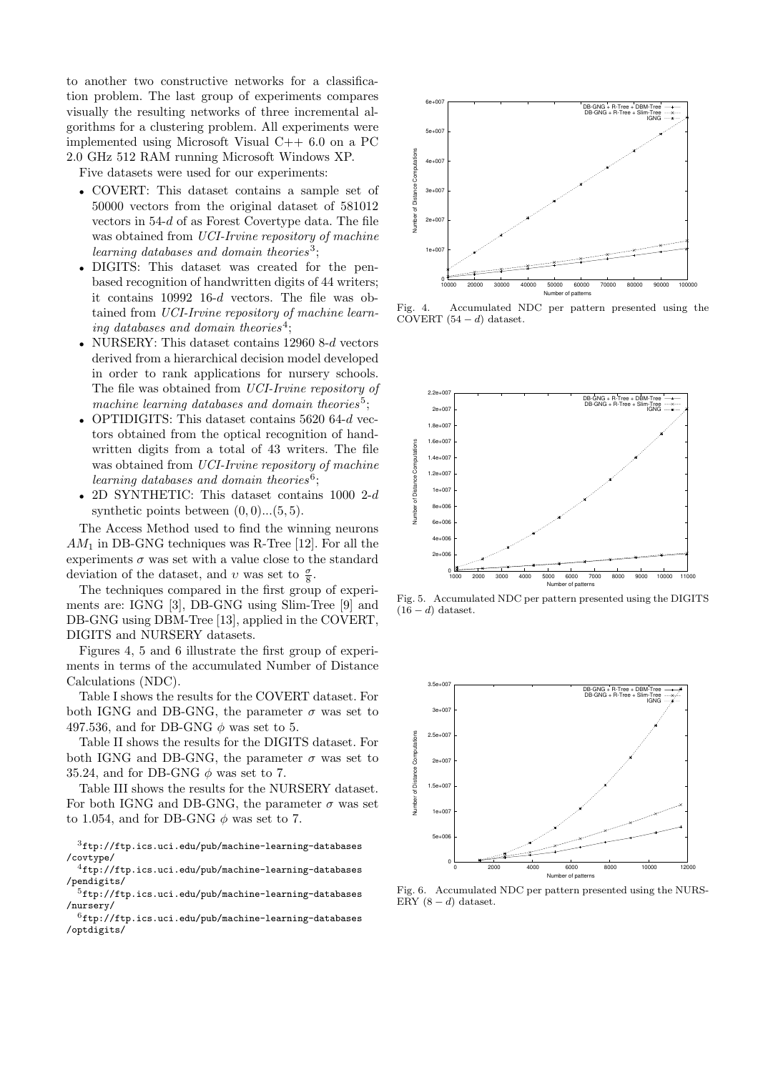to another two constructive networks for a classification problem. The last group of experiments compares visually the resulting networks of three incremental algorithms for a clustering problem. All experiments were implemented using Microsoft Visual C++ 6.0 on a PC 2.0 GHz 512 RAM running Microsoft Windows XP.

Five datasets were used for our experiments:

- COVERT: This dataset contains a sample set of 50000 vectors from the original dataset of 581012 vectors in 54-d of as Forest Covertype data. The file was obtained from UCI-Irvine repository of machine learning databases and domain theories<sup>3</sup>;
- DIGITS: This dataset was created for the penbased recognition of handwritten digits of 44 writers; it contains 10992 16-d vectors. The file was obtained from UCI-Irvine repository of machine learning databases and domain theories<sup>4</sup>;
- NURSERY: This dataset contains 12960 8-d vectors derived from a hierarchical decision model developed in order to rank applications for nursery schools. The file was obtained from UCI-Irvine repository of machine learning databases and domain theories<sup>5</sup>;
- OPTIDIGITS: This dataset contains 5620 64-d vectors obtained from the optical recognition of handwritten digits from a total of 43 writers. The file was obtained from UCI-Irvine repository of machine learning databases and domain theories<sup>6</sup>;
- 2D SYNTHETIC: This dataset contains 1000 2-d synthetic points between  $(0, 0)$ ... $(5, 5)$ .

The Access Method used to find the winning neurons  $AM_1$  in DB-GNG techniques was R-Tree [12]. For all the experiments  $\sigma$  was set with a value close to the standard deviation of the dataset, and v was set to  $\frac{\sigma}{8}$ .

The techniques compared in the first group of experiments are: IGNG [3], DB-GNG using Slim-Tree [9] and DB-GNG using DBM-Tree [13], applied in the COVERT, DIGITS and NURSERY datasets.

Figures 4, 5 and 6 illustrate the first group of experiments in terms of the accumulated Number of Distance Calculations (NDC).

Table I shows the results for the COVERT dataset. For both IGNG and DB-GNG, the parameter  $\sigma$  was set to 497.536, and for DB-GNG  $\phi$  was set to 5.

Table II shows the results for the DIGITS dataset. For both IGNG and DB-GNG, the parameter  $\sigma$  was set to 35.24, and for DB-GNG  $\phi$  was set to 7.

Table III shows the results for the NURSERY dataset. For both IGNG and DB-GNG, the parameter  $\sigma$  was set to 1.054, and for DB-GNG  $\phi$  was set to 7.

 $3$ ftp://ftp.ics.uci.edu/pub/machine-learning-databases /covtype/

 $^4$ ftp://ftp.ics.uci.edu/pub/machine-learning-databases /pendigits/

 $^{5}$ ftp://ftp.ics.uci.edu/pub/machine-learning-databases /nursery/

 $6$ ftp://ftp.ics.uci.edu/pub/machine-learning-databases /optdigits/



Fig. 4. Accumulated NDC per pattern presented using the COVERT  $(54 - d)$  dataset.



Fig. 5. Accumulated NDC per pattern presented using the DIGITS  $(16 - d)$  dataset.



Fig. 6. Accumulated NDC per pattern presented using the NURS-ERY  $(8-d)$  dataset.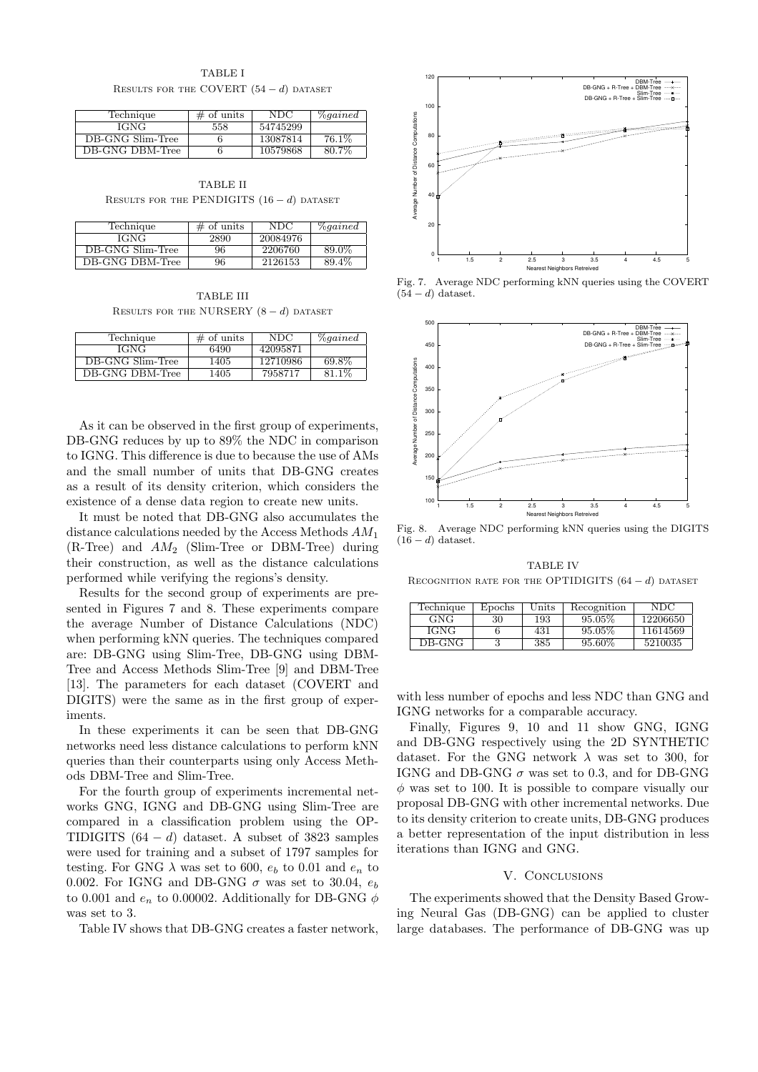TABLE I RESULTS FOR THE COVERT  $(54 - d)$  dataset

| Technique        | $\#$ of units | NDC      | <i><u><b>Zogained</b></u></i> |
|------------------|---------------|----------|-------------------------------|
| IGNG             | 558           | 54745299 |                               |
| DB-GNG Slim-Tree |               | 13087814 | 76.1\%                        |
| DB-GNG DBM-Tree  |               | 10579868 | 80.7%                         |

TABLE II RESULTS FOR THE PENDIGITS  $(16 - d)$  dataset

| Technique        | $\#$ of units | NDC.     | <i><u><b>Zogained</b></u></i> |
|------------------|---------------|----------|-------------------------------|
| IGNG             | 2890          | 20084976 |                               |
| DB-GNG Slim-Tree | 96            | 2206760  | 89.0%                         |
| DB-GNG DBM-Tree  | 96            | 2126153  | 89.4%                         |

TABLE III RESULTS FOR THE NURSERY  $(8 - d)$  dataset

| Technique        | $\#$ of units | NDC.     | $\%qained$ |
|------------------|---------------|----------|------------|
| IGNG             | 6490          | 42095871 |            |
| DB-GNG Slim-Tree | 1405          | 12710986 | 69.8%      |
| DB-GNG DBM-Tree  | 1405          | 7958717  | 81.1%      |

As it can be observed in the first group of experiments, DB-GNG reduces by up to 89% the NDC in comparison to IGNG. This difference is due to because the use of AMs and the small number of units that DB-GNG creates as a result of its density criterion, which considers the existence of a dense data region to create new units.

It must be noted that DB-GNG also accumulates the distance calculations needed by the Access Methods  $AM_1$  $(R-Tree)$  and  $AM<sub>2</sub>$  (Slim-Tree or DBM-Tree) during their construction, as well as the distance calculations performed while verifying the regions's density.

Results for the second group of experiments are presented in Figures 7 and 8. These experiments compare the average Number of Distance Calculations (NDC) when performing kNN queries. The techniques compared are: DB-GNG using Slim-Tree, DB-GNG using DBM-Tree and Access Methods Slim-Tree [9] and DBM-Tree [13]. The parameters for each dataset (COVERT and DIGITS) were the same as in the first group of experiments.

In these experiments it can be seen that DB-GNG networks need less distance calculations to perform kNN queries than their counterparts using only Access Methods DBM-Tree and Slim-Tree.

For the fourth group of experiments incremental networks GNG, IGNG and DB-GNG using Slim-Tree are compared in a classification problem using the OP-TIDIGITS  $(64 - d)$  dataset. A subset of 3823 samples were used for training and a subset of 1797 samples for testing. For GNG  $\lambda$  was set to 600,  $e_b$  to 0.01 and  $e_n$  to 0.002. For IGNG and DB-GNG  $\sigma$  was set to 30.04,  $e_b$ to 0.001 and  $e_n$  to 0.00002. Additionally for DB-GNG  $\phi$ was set to 3.

Table IV shows that DB-GNG creates a faster network,



Fig. 7. Average NDC performing kNN queries using the COVERT  $(54 - d)$  dataset.



Fig. 8. Average NDC performing kNN queries using the DIGITS  $(16 - d)$  dataset.

TABLE IV RECOGNITION RATE FOR THE OPTIDIGITS  $(64 - d)$  dataset

| Technique | Epochs | $_{\rm Units}$ | Recognition | NDC      |
|-----------|--------|----------------|-------------|----------|
| GNG       | 30     | 193            | $95.05\%$   | 12206650 |
| IGNG      |        | 431            | $95.05\%$   | 11614569 |
| DB-GNG    |        | 385            | $95.60\%$   | 5210035  |

with less number of epochs and less NDC than GNG and IGNG networks for a comparable accuracy.

Finally, Figures 9, 10 and 11 show GNG, IGNG and DB-GNG respectively using the 2D SYNTHETIC dataset. For the GNG network  $\lambda$  was set to 300, for IGNG and DB-GNG  $\sigma$  was set to 0.3, and for DB-GNG  $\phi$  was set to 100. It is possible to compare visually our proposal DB-GNG with other incremental networks. Due to its density criterion to create units, DB-GNG produces a better representation of the input distribution in less iterations than IGNG and GNG.

### V. CONCLUSIONS

The experiments showed that the Density Based Growing Neural Gas (DB-GNG) can be applied to cluster large databases. The performance of DB-GNG was up